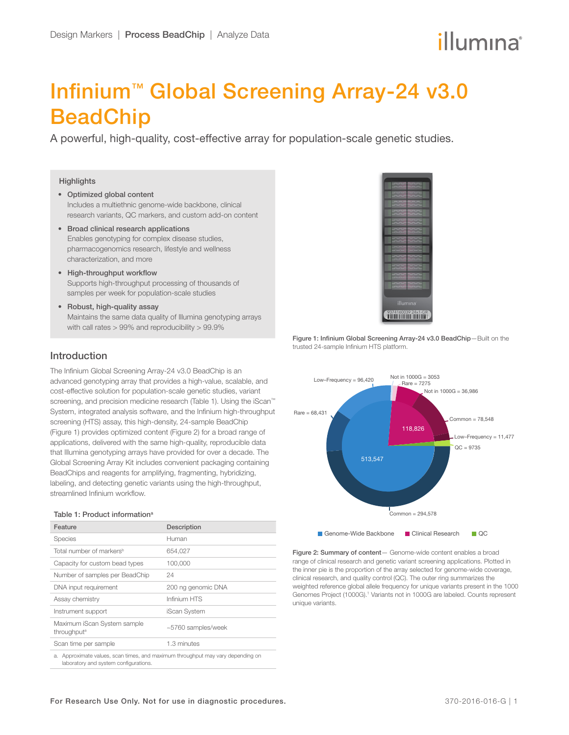# illumına

## Infinium™ Global Screening Array-24 v3.0 BeadChip

A powerful, high-quality, cost-effective array for population-scale genetic studies.

#### **Highlights**

- Optimized global content Includes a multiethnic genome-wide backbone, clinical research variants, QC markers, and custom add-on content
- Broad clinical research applications Enables genotyping for complex disease studies, pharmacogenomics research, lifestyle and wellness characterization, and more
- High-throughput workflow Supports high-throughput processing of thousands of samples per week for population-scale studies
- Robust, high-quality assay Maintains the same data quality of Illumina genotyping arrays with call rates > 99% and reproducibility > 99.9%

## Introduction

The Infinium Global Screening Array-24 v3.0 BeadChip is an advanced genotyping array that provides a high-value, scalable, and cost-effective solution for population-scale genetic studies, variant screening, and precision medicine research (Table 1). Using the iScan<sup>™</sup> System, integrated analysis software, and the Infinium high-throughput screening (HTS) assay, this high-density, 24-sample BeadChip (Figure 1) provides optimized content (Figure 2) for a broad range of applications, delivered with the same high-quality, reproducible data that Illumina genotyping arrays have provided for over a decade. The Global Screening Array Kit includes convenient packaging containing BeadChips and reagents for amplifying, fragmenting, hybridizing, labeling, and detecting genetic variants using the high-throughput, streamlined Infinium workflow.

#### Table 1: Product information<sup>a</sup>

| Feature                                                                                                                  | Description        |
|--------------------------------------------------------------------------------------------------------------------------|--------------------|
| Species                                                                                                                  | Human              |
| Total number of markers <sup>b</sup>                                                                                     | 654.027            |
| Capacity for custom bead types                                                                                           | 100,000            |
| Number of samples per BeadChip                                                                                           | 24                 |
| DNA input requirement                                                                                                    | 200 ng genomic DNA |
| Assay chemistry                                                                                                          | Infinium HTS       |
| Instrument support                                                                                                       | iScan System       |
| Maximum iScan System sample<br>throughput <sup>a</sup>                                                                   | ~5760 samples/week |
| Scan time per sample                                                                                                     | 1.3 minutes        |
| a. Approximate values, scan times, and maximum throughput may vary depending on<br>laboratory and system configurations. |                    |



Figure 1: Infinium Global Screening Array-24 v3.0 BeadChip—Built on the trusted 24-sample Infinium HTS platform.



Figure 2: Summary of content— Genome-wide content enables a broad range of clinical research and genetic variant screening applications. Plotted in the inner pie is the proportion of the array selected for genome-wide coverage, clinical research, and quality control (QC). The outer ring summarizes the weighted reference global allele frequency for unique variants present in the 1000 Genomes Project (1000G).<sup>1</sup> Variants not in 1000G are labeled. Counts represent unique variants.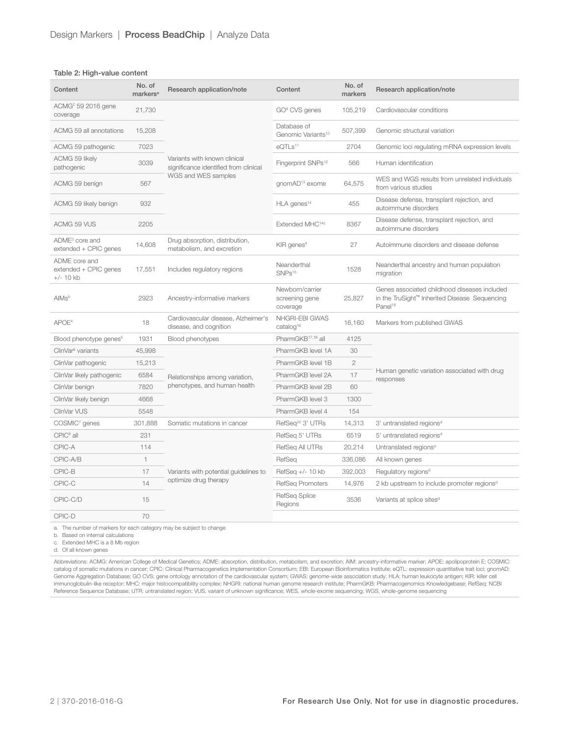#### Table 2: High-value content

| Content                                               | No. of<br>markers <sup>a</sup> | Research application/note                                             | Content                                       | No. of<br>markers | Research application/note                                                                                            |  |
|-------------------------------------------------------|--------------------------------|-----------------------------------------------------------------------|-----------------------------------------------|-------------------|----------------------------------------------------------------------------------------------------------------------|--|
| ACMG <sup>2</sup> 59 2016 gene<br>coverage            | 21.730                         |                                                                       | GO <sup>9</sup> CVS genes                     | 105,219           | Cardiovascular conditions                                                                                            |  |
| ACMG 59 all annotations                               | 15,208                         |                                                                       | Database of<br>Genomic Variants <sup>10</sup> | 507,399           | Genomic structural variation                                                                                         |  |
| ACMG 59 pathogenic                                    | 7023                           |                                                                       | eOTLs <sup>11</sup>                           | 2704              | Genomic loci regulating mRNA expression levels                                                                       |  |
| ACMG 59 likely<br>pathogenic                          | 3039                           | Variants with known clinical<br>significance identified from clinical | Fingerprint SNPs <sup>12</sup>                | 566               | Human identification                                                                                                 |  |
| ACMG 59 benign                                        | 567                            | WGS and WES samples                                                   | qnomAD <sup>13</sup> exome                    | 64,575            | WES and WGS results from unrelated individuals<br>from various studies                                               |  |
| ACMG 59 likely benign                                 | 932                            |                                                                       | HLA genes <sup>14</sup>                       | 455               | Disease defense, transplant rejection, and<br>autoimmune disorders                                                   |  |
| ACMG 59 VUS                                           | 2205                           |                                                                       | Extended MHC <sup>14c</sup>                   | 8367              | Disease defense, transplant rejection, and<br>autoimmune disorders                                                   |  |
| ADME <sup>3</sup> core and<br>extended + CPIC genes   | 14,608                         | Drug absorption, distribution,<br>metabolism, and excretion           | KIR genes <sup>4</sup>                        | 27                | Autoimmune disorders and disease defense                                                                             |  |
| ADME core and<br>extended + CPIC genes<br>$+/- 10$ kb | 17.551                         | Includes regulatory regions                                           | Neanderthal<br>SNPs <sup>15</sup>             | 1528              | Neanderthal ancestry and human population<br>migration                                                               |  |
| AlMs <sup>b</sup>                                     | 2923                           | Ancestry-informative markers                                          | Newborn/carrier<br>screening gene<br>coverage | 25,827            | Genes associated childhood diseases included<br>in the TruSight™ Inherited Disease Sequencing<br>Panel <sup>19</sup> |  |
| APOE <sup>4</sup>                                     | 18                             | Cardiovascular disease, Alzheimer's<br>disease, and cognition         | NHGRI-EBI GWAS<br>catalog <sup>16</sup>       | 16,160            | Markers from published GWAS                                                                                          |  |
| Blood phenotype genes <sup>5</sup>                    | 1931                           | Blood phenotypes                                                      | PharmGKB <sup>17,18</sup> all                 | 4125              |                                                                                                                      |  |
| ClinVar <sup>6</sup> variants                         | 45,998                         |                                                                       | PharmGKB level 1A                             | 30                |                                                                                                                      |  |
| ClinVar pathogenic                                    | 15,213                         |                                                                       | PharmGKB level 1B                             | $\mathbf{2}$      |                                                                                                                      |  |
| ClinVar likely pathogenic                             | 6584                           | Relationships among variation,                                        | PharmGKB level 2A                             | 17                | Human genetic variation associated with drug<br>responses                                                            |  |
| ClinVar benign                                        | 7820                           | phenotypes, and human health                                          | PharmGKB level 2B                             | 60                |                                                                                                                      |  |
| ClinVar likely benign                                 | 4668                           |                                                                       | PharmGKB level 3                              | 1300              |                                                                                                                      |  |
| ClinVar VUS                                           | 5548                           |                                                                       | PharmGKB level 4                              | 154               |                                                                                                                      |  |
| COSMIC <sup>7</sup> genes                             | 301,888                        | Somatic mutations in cancer                                           | RefSeq <sup>20</sup> 3' UTRs                  | 14,313            | 3' untranslated regions <sup>d</sup>                                                                                 |  |
| CPIC <sup>8</sup> all                                 | 231                            |                                                                       | RefSeq 5' UTRs                                | 6519              | 5' untranslated regions <sup>d</sup>                                                                                 |  |
| CPIC-A                                                | 114                            |                                                                       | RefSeq All UTRs                               | 20,214            | Untranslated regions <sup>d</sup>                                                                                    |  |
| CPIC-A/B                                              | 1                              |                                                                       | RefSeq                                        | 336,086           | All known genes                                                                                                      |  |
| CPIC-B                                                | 17                             | Variants with potential guidelines to                                 | RefSeq $+/- 10$ kb                            | 392,003           | Regulatory regions <sup>d</sup>                                                                                      |  |
| CPIC-C                                                | 14                             | optimize drug therapy                                                 | RefSeq Promoters                              | 14,976            | 2 kb upstream to include promoter regions <sup>d</sup>                                                               |  |
| CPIC-C/D                                              | 15                             |                                                                       | RefSeq Splice<br>Regions                      | 3536              | Variants at splice sites <sup>d</sup>                                                                                |  |
| CPIC-D                                                | 70                             |                                                                       |                                               |                   |                                                                                                                      |  |

a. The number of markers for each category may be subject to change

b. Based on internal calculations

c. Extended MHC is a 8 Mb region

d. Of all known genes

Abbreviations: ACMG: American College of Medical Genetics; ADME: absorption, distribution, metabolism, and excretion; AIM: ancestry-informative marker; APOE: apolipoprotein E; COSMIC:<br>catalog of somatic mutations in cancer Genome Aggregation Database; GO CVS: gene ontology annotation of the cardiovascular system; GWAS: genome-wide association study; HLA: human leukocyte antigen; KIR: killer cell immunoglobulin-like receptor; MHC: major histocompatibility complex; NHGRI: national human genome research institute; PharmGKB: Pharmacogenomics Knowledgebase; RefSeq: NCBI<br>Reference Sequence Database; UTR: untranslated re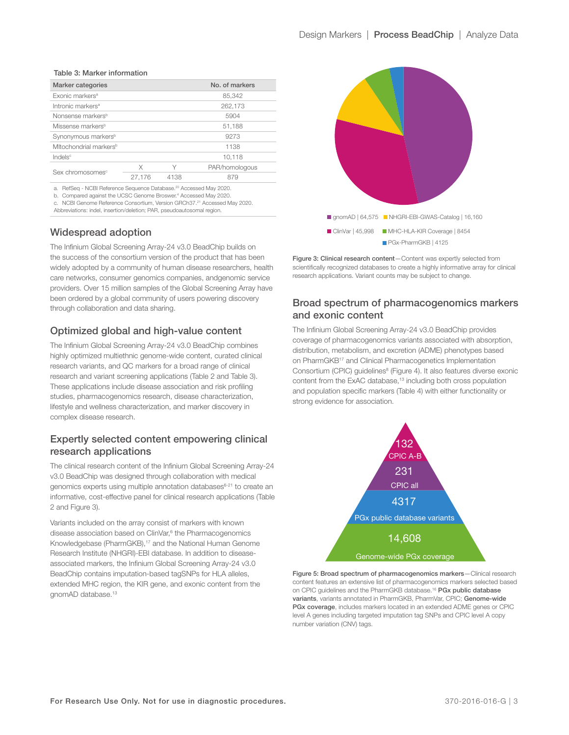#### Table 3: Marker information

| Marker categories                  |        |      | No. of markers |  |
|------------------------------------|--------|------|----------------|--|
| Exonic markers <sup>a</sup>        |        |      | 85,342         |  |
| Intronic markers <sup>a</sup>      |        |      | 262,173        |  |
| Nonsense markers <sup>b</sup>      |        |      | 5904           |  |
| Missense markers <sup>b</sup>      |        |      | 51,188         |  |
| Synonymous markers <sup>b</sup>    |        |      | 9273           |  |
| Mitochondrial markers <sup>b</sup> |        |      | 1138           |  |
| Indels <sup>c</sup>                |        |      | 10,118         |  |
| Sex chromosomes <sup>c</sup>       | X      | Υ    | PAR/homologous |  |
|                                    | 27,176 | 4138 | 879            |  |
|                                    |        |      |                |  |

a. RefSeq - NCBI Reference Sequence Database.[20](#page-5-18) Accessed May 2020.

b. Compared against the UCSC Genome Broswer.[4](#page-5-9) Accessed May 2020.

c. NCBI Genome Reference Consortium, Version GRCh37[.21](#page-5-20) Accessed May 2020. Abbreviations: indel, insertion/deletion; PAR, pseudoautosomal region.

Widespread adoption

The Infinium Global Screening Array-24 v3.0 BeadChip builds on the success of the consortium version of the product that has been widely adopted by a community of human disease researchers, health care networks, consumer genomics companies, andgenomic service providers. Over 15 million samples of the Global Screening Array have been ordered by a global community of users powering discovery through collaboration and data sharing.

## Optimized global and high-value content

The Infinium Global Screening Array-24 v3.0 BeadChip combines highly optimized multiethnic genome-wide content, curated clinical research variants, and QC markers for a broad range of clinical research and variant screening applications (Table 2 and Table 3). These applications include disease association and risk profiling studies, pharmacogenomics research, disease characterization, lifestyle and wellness characterization, and marker discovery in complex disease research.

## Expertly selected content empowering clinical research applications

The clinical research content of the Infinium Global Screening Array-24 v3.0 BeadChip was designed through collaboration with medical genomics experts using multiple annotation databases<sup>6-21</sup> to create an informative, cost-effective panel for clinical research applications (Table 2 and Figure 3).

Variants included on the array consist of markers with known disease association based on ClinVar,<sup>6</sup> the Pharmacogenomics Knowledgebase (PharmGKB),<sup>[17](#page-5-14)</sup> and the National Human Genome Research Institute (NHGRI)-EBI database. In addition to diseaseassociated markers, the Infinium Global Screening Array-24 v3.0 BeadChip contains imputation-based tagSNPs for HLA alleles, extended MHC region, the KIR gene, and exonic content from the gnomAD database.[13](#page-5-6)



Figure 3: Clinical research content—Content was expertly selected from scientifically recognized databases to create a highly informative array for clinical research applications. Variant counts may be subject to change.

## Broad spectrum of pharmacogenomics markers and exonic content

The Infinium Global Screening Array-24 v3.0 BeadChip provides coverage of pharmacogenomics variants associated with absorption, distribution, metabolism, and excretion (ADME) phenotypes based on PharmGK[B17](#page-5-14) and Clinical Pharmacogenetics Implementation Consortium (CPIC) guidelines<sup>[8](#page-5-19)</sup> (Figure 4). It also features diverse exonic content from the ExAC database,<sup>[13](#page-5-6)</sup> including both cross population and population specific markers (Table 4) with either functionality or strong evidence for association.



Figure 5: Broad spectrum of pharmacogenomics markers—Clinical research content features an extensive list of pharmacogenomics markers selected based on CPIC guidelines and the PharmGKB database.<sup>16</sup> PGx public database variants, variants annotated in PharmGKB, PharmVar, CPIC; Genome-wide PGx coverage, includes markers located in an extended ADME genes or CPIC level A genes including targeted imputation tag SNPs and CPIC level A copy number variation (CNV) tags.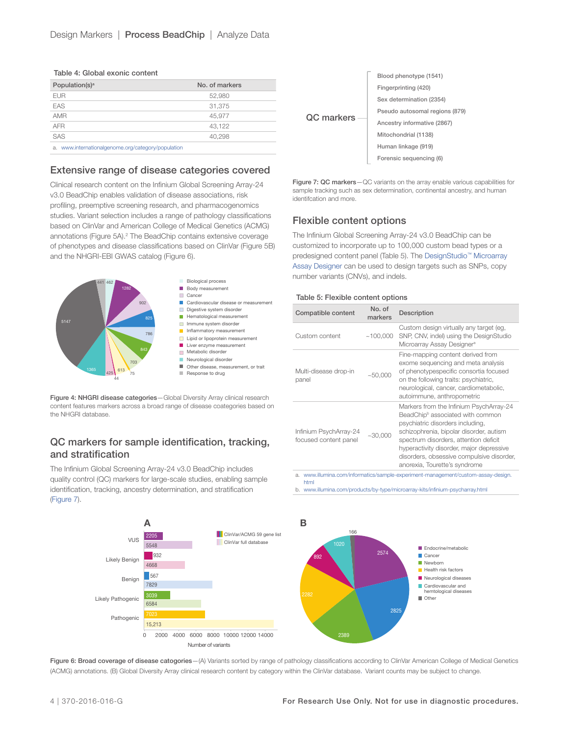| Table 4: Global exonic content |  |  |
|--------------------------------|--|--|
|--------------------------------|--|--|

| Population(s) <sup>a</sup>                            | No. of markers |
|-------------------------------------------------------|----------------|
| <b>EUR</b>                                            | 52,980         |
| EAS                                                   | 31.375         |
| <b>AMR</b>                                            | 45,977         |
| <b>AFR</b>                                            | 43.122         |
| SAS                                                   | 40.298         |
| www.internationalgenome.org/category/population<br>a. |                |

### Extensive range of disease categories covered

Clinical research content on the Infinium Global Screening Array-24 v3.0 BeadChip enables validation of disease associations, risk profiling, preemptive screening research, and pharmacogenomics studies. Variant selection includes a range of pathology classifications based on ClinVar and American College of Medical Genetics (ACMG) annotations (Figure 5A).<sup>2</sup> The BeadChip contains extensive coverage of phenotypes and disease classifications based on ClinVar (Figure 5B) and the NHGRI-EBI GWAS catalog (Figure 6).



Figure 4: NHGRI disease categories-Global Diversity Array clinical research content features markers across a broad range of disease coategories based on the NHGRI database.

## QC markers for sample identification, tracking, and stratification

The Infinium Global Screening Array-24 v3.0 BeadChip includes quality control (QC) markers for large-scale studies, enabling sample identification, tracking, ancestry determination, and stratification (Figure 7).



Figure 7: QC markers-QC variants on the array enable various capabilities for sample tracking such as sex determination, continental ancestry, and human identifcation and more.

## Flexible content options

The Infinium Global Screening Array-24 v3.0 BeadChip can be customized to incorporate up to 100,000 custom bead types or a predesigned content panel (Table 5). The [DesignStudio™ Microarray](https://www.illumina.com/informatics/sample-experiment-management/custom-assay-design.html)  [Assay Designer](https://www.illumina.com/informatics/sample-experiment-management/custom-assay-design.html) can be used to design targets such as SNPs, copy number variants (CNVs), and indels.

#### Table 5: Flexible content options

| Compatible content                              | No. of<br>markers | Description                                                                                                                                                                                                                                                                                                                               |
|-------------------------------------------------|-------------------|-------------------------------------------------------------------------------------------------------------------------------------------------------------------------------------------------------------------------------------------------------------------------------------------------------------------------------------------|
| Custom content                                  | ~100.000          | Custom design virtually any target (eg,<br>SNP, CNV, indel) using the DesignStudio<br>Microarray Assay Designer <sup>a</sup>                                                                                                                                                                                                              |
| Multi-disease drop-in<br>panel                  | ~10000            | Fine-mapping content derived from<br>exome sequencing and meta analysis<br>of phenotypespecific consortia focused<br>on the following traits: psychiatric,<br>neurological, cancer, cardiometabolic,<br>autoimmune, anthropometric                                                                                                        |
| Infinium PsychArray-24<br>focused content panel | ~10,000           | Markers from the Infinium PsychArray-24<br>BeadChip <sup>b</sup> associated with common<br>psychiatric disorders including,<br>schizophrenia, bipolar disorder, autism<br>spectrum disorders, attention deficit<br>hyperactivity disorder, major depressive<br>disorders, obsessive compulsive disorder,<br>anorexia, Tourette's syndrome |

a. [www.illumina.com/informatics/sample-experiment-management/custom-assay-design.](http://www.illumina.com/informatics/sample-experiment-management/custom-assay-design.html) [html](http://www.illumina.com/informatics/sample-experiment-management/custom-assay-design.html)

b. [www.illumina.com/products/by-type/microarray-kits/infinium-psycharray.html](http://www.illumina.com/products/by-type/microarray-kits/infinium-psycharray.html)



Figure 6: Broad coverage of disease catogories-(A) Variants sorted by range of pathology classifications according to ClinVar American College of Medical Genetics (ACMG) annotations. (B) Global Diversity Array clinical research content by category within the ClinVar database. Variant counts may be subject to change.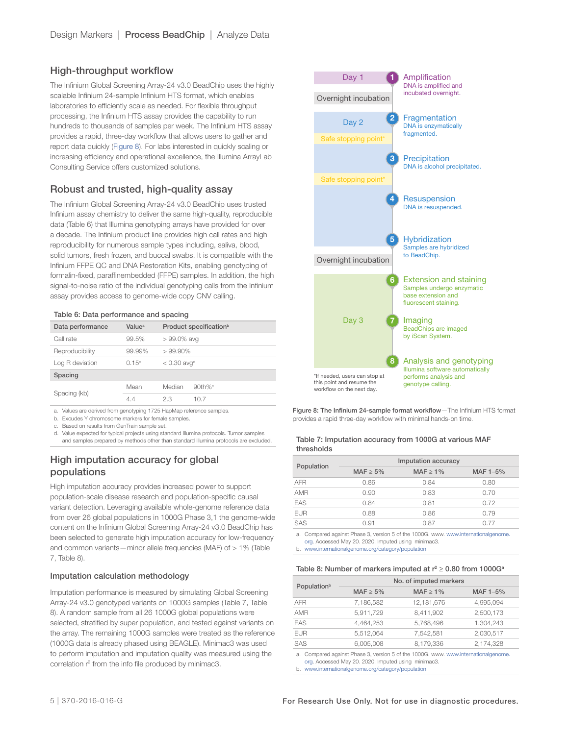## High-throughput workflow

The Infinium Global Screening Array-24 v3.0 BeadChip uses the highly scalable Infinium 24-sample Infinium HTS format, which enables laboratories to efficiently scale as needed. For flexible throughput processing, the Infinium HTS assay provides the capability to run hundreds to thousands of samples per week. The Infinium HTS assay provides a rapid, three-day workflow that allows users to gather and report data quickly (Figure 8). For labs interested in quickly scaling or increasing efficiency and operational excellence, the Illumina ArrayLab Consulting Service offers customized solutions.

## Robust and trusted, high-quality assay

The Infinium Global Screening Array-24 v3.0 BeadChip uses trusted Infinium assay chemistry to deliver the same high-quality, reproducible data (Table 6) that Illumina genotyping arrays have provided for over a decade. The Infinium product line provides high call rates and high reproducibility for numerous sample types including, saliva, blood, solid tumors, fresh frozen, and buccal swabs. It is compatible with the Infinium FFPE QC and DNA Restoration Kits, enabling genotyping of formalin-fixed, paraffinembedded (FFPE) samples. In addition, the high signal-to-noise ratio of the individual genotyping calls from the Infinium assay provides access to genome-wide copy CNV calling.

#### Table 6: Data performance and spacing

| Data performance | Value <sup>a</sup> |                           | Product specification <sup>b</sup> |
|------------------|--------------------|---------------------------|------------------------------------|
| Call rate        | 99.5%              | $>99.0\%$ avg             |                                    |
| Reproducibility  | 99.99%             | $>99.90\%$                |                                    |
| Log R deviation  | 0.15°              | $< 0.30$ avg <sup>d</sup> |                                    |
| Spacing          |                    |                           |                                    |
|                  | Mean               | Median                    | $90th\%$                           |
| Spacing (kb)     | 4.4                | 23                        | 10 7                               |

a. Values are derived from genotyping 1725 HapMap reference samples.

b. Excudes Y chromosome markers for female samples.

c. Based on results from GenTrain sample set.

d. Value expected for typical projects using standard Illumina protocols. Tumor samples and samples prepared by methods other than standard Illumina protocols are excluded.

## High imputation accuracy for global populations

High imputation accuracy provides increased power to support population-scale disease research and population-specific causal variant detection. Leveraging available whole-genome reference data from over 26 global populations in 1000G Phase 3,1 the genome-wide content on the Infinium Global Screening Array-24 v3.0 BeadChip has been selected to generate high imputation accuracy for low-frequency and common variants—minor allele frequencies (MAF) of > 1% (Table 7, Table 8).

#### Imputation calculation methodology

Imputation performance is measured by simulating Global Screening Array-24 v3.0 genotyped variants on 1000G samples (Table 7, Table 8). A random sample from all 26 1000G global populations were selected, stratified by super population, and tested against variants on the array. The remaining 1000G samples were treated as the reference (1000G data is already phased using BEAGLE). Minimac3 was used to perform imputation and imputation quality was measured using the correlation r<sup>2</sup> from the info file produced by minimac3.



Figure 8: The Infinium 24-sample format workflow—The Infinium HTS format provides a rapid three-day workflow with minimal hands-on time.

| Table 7: Imputation accuracy from 1000G at various MAF |  |  |
|--------------------------------------------------------|--|--|
| thresholds                                             |  |  |

|            | Imputation accuracy |                |          |  |
|------------|---------------------|----------------|----------|--|
| Population | MAF $\geq 5\%$      | MAF $\geq 1\%$ | MAF 1-5% |  |
| <b>AFR</b> | 0.86                | 0.84           | 0.80     |  |
| <b>AMR</b> | 0.90                | 0.83           | 0.70     |  |
| EAS        | 0.84                | 0.81           | 0.72     |  |
| <b>EUR</b> | 0.88                | 0.86           | 0.79     |  |
| SAS        | 0.91                | 0.87           | O 77     |  |

a. Compared against Phase 3, version 5 of the 1000G. www. [www.internationalgenome.](https://www.internationalgenome.org/) [org.](https://www.internationalgenome.org/) Accessed May 20. 2020. Imputed using minimac3.

b. [www.internationalgenome.org/category/population](https://www.internationalgenome.org/category/population)

#### Table 8: Number of markers imputed at  $r^2 \geq 0.80$  from 1000G<sup>a</sup>

|                         | No. of imputed markers |                |           |  |
|-------------------------|------------------------|----------------|-----------|--|
| Population <sup>b</sup> | MAF $\geq$ 5%          | MAF $\geq 1\%$ | MAF 1-5%  |  |
| <b>AFR</b>              | 7,186,582              | 12,181,676     | 4,995,094 |  |
| <b>AMR</b>              | 5,911,729              | 8,411,902      | 2,500,173 |  |
| EAS                     | 4.464.253              | 5.768.496      | 1.304.243 |  |
| <b>EUR</b>              | 5,512,064              | 7.542.581      | 2,030,517 |  |
| SAS                     | 6,005,008              | 8.179.336      | 2,174,328 |  |

a. Compared against Phase 3, version 5 of the 1000G. www. [www.internationalgenome.](https://www.internationalgenome.org/)

[org.](https://www.internationalgenome.org/) Accessed May 20. 2020. Imputed using minimac3.

b. [www.internationalgenome.org/category/population](https://www.internationalgenome.org/category/population)